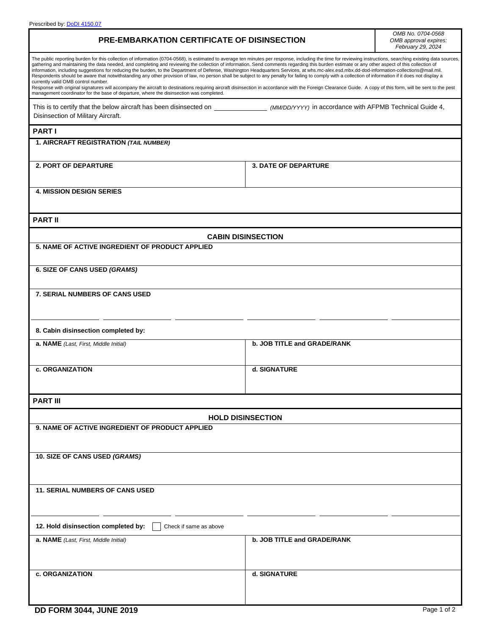| <b>PRE-EMBARKATION CERTIFICATE OF DISINSECTION</b>                                                                                                                                                                                                                                                                                                                                                                                                                                                                                                                                                                                                                                                                                                                                                                                                                                                                                                                                                                                                                            |                             | OMB No. 0704-0568<br>OMB approval expires:<br>February 29, 2024 |
|-------------------------------------------------------------------------------------------------------------------------------------------------------------------------------------------------------------------------------------------------------------------------------------------------------------------------------------------------------------------------------------------------------------------------------------------------------------------------------------------------------------------------------------------------------------------------------------------------------------------------------------------------------------------------------------------------------------------------------------------------------------------------------------------------------------------------------------------------------------------------------------------------------------------------------------------------------------------------------------------------------------------------------------------------------------------------------|-----------------------------|-----------------------------------------------------------------|
| The public reporting burden for this collection of information (0704-0568), is estimated to average ten minutes per response, including the time for reviewing instructions, searching existing data sources,<br>gathering and maintaining the data needed, and completing and reviewing the collection of information. Send comments regarding this burden estimate or any other aspect of this collection of<br>information, including suggestions for reducing the burden, to the Department of Defense, Washington Headquarters Services, at whs.mc-alex.esd.mbx.dd-dod-information-collections@mail.mil.<br>Respondents should be aware that notwithstanding any other provision of law, no person shall be subject to any penalty for failing to comply with a collection of information if it does not display a<br>currently valid OMB control number.<br>Response with original signatures will accompany the aircraft to destinations requiring aircraft disinsection in accordance with the Foreign Clearance Guide. A copy of this form, will be sent to the pest |                             |                                                                 |
| management coordinator for the base of departure, where the disinsection was completed.                                                                                                                                                                                                                                                                                                                                                                                                                                                                                                                                                                                                                                                                                                                                                                                                                                                                                                                                                                                       |                             |                                                                 |
| Disinsection of Military Aircraft.                                                                                                                                                                                                                                                                                                                                                                                                                                                                                                                                                                                                                                                                                                                                                                                                                                                                                                                                                                                                                                            |                             |                                                                 |
| <b>PART I</b>                                                                                                                                                                                                                                                                                                                                                                                                                                                                                                                                                                                                                                                                                                                                                                                                                                                                                                                                                                                                                                                                 |                             |                                                                 |
| 1. AIRCRAFT REGISTRATION (TAIL NUMBER)                                                                                                                                                                                                                                                                                                                                                                                                                                                                                                                                                                                                                                                                                                                                                                                                                                                                                                                                                                                                                                        |                             |                                                                 |
| <b>2. PORT OF DEPARTURE</b>                                                                                                                                                                                                                                                                                                                                                                                                                                                                                                                                                                                                                                                                                                                                                                                                                                                                                                                                                                                                                                                   | <b>3. DATE OF DEPARTURE</b> |                                                                 |
| <b>4. MISSION DESIGN SERIES</b>                                                                                                                                                                                                                                                                                                                                                                                                                                                                                                                                                                                                                                                                                                                                                                                                                                                                                                                                                                                                                                               |                             |                                                                 |
| <b>PART II</b>                                                                                                                                                                                                                                                                                                                                                                                                                                                                                                                                                                                                                                                                                                                                                                                                                                                                                                                                                                                                                                                                |                             |                                                                 |
| <b>CABIN DISINSECTION</b>                                                                                                                                                                                                                                                                                                                                                                                                                                                                                                                                                                                                                                                                                                                                                                                                                                                                                                                                                                                                                                                     |                             |                                                                 |
| 5. NAME OF ACTIVE INGREDIENT OF PRODUCT APPLIED                                                                                                                                                                                                                                                                                                                                                                                                                                                                                                                                                                                                                                                                                                                                                                                                                                                                                                                                                                                                                               |                             |                                                                 |
| 6. SIZE OF CANS USED (GRAMS)                                                                                                                                                                                                                                                                                                                                                                                                                                                                                                                                                                                                                                                                                                                                                                                                                                                                                                                                                                                                                                                  |                             |                                                                 |
| <b>7. SERIAL NUMBERS OF CANS USED</b>                                                                                                                                                                                                                                                                                                                                                                                                                                                                                                                                                                                                                                                                                                                                                                                                                                                                                                                                                                                                                                         |                             |                                                                 |
| 8. Cabin disinsection completed by:                                                                                                                                                                                                                                                                                                                                                                                                                                                                                                                                                                                                                                                                                                                                                                                                                                                                                                                                                                                                                                           |                             |                                                                 |
| a. NAME (Last, First, Middle Initial)                                                                                                                                                                                                                                                                                                                                                                                                                                                                                                                                                                                                                                                                                                                                                                                                                                                                                                                                                                                                                                         | b. JOB TITLE and GRADE/RANK |                                                                 |
| c. ORGANIZATION                                                                                                                                                                                                                                                                                                                                                                                                                                                                                                                                                                                                                                                                                                                                                                                                                                                                                                                                                                                                                                                               | d. SIGNATURE                |                                                                 |
| <b>PART III</b>                                                                                                                                                                                                                                                                                                                                                                                                                                                                                                                                                                                                                                                                                                                                                                                                                                                                                                                                                                                                                                                               |                             |                                                                 |
| <b>HOLD DISINSECTION</b>                                                                                                                                                                                                                                                                                                                                                                                                                                                                                                                                                                                                                                                                                                                                                                                                                                                                                                                                                                                                                                                      |                             |                                                                 |
| 9. NAME OF ACTIVE INGREDIENT OF PRODUCT APPLIED                                                                                                                                                                                                                                                                                                                                                                                                                                                                                                                                                                                                                                                                                                                                                                                                                                                                                                                                                                                                                               |                             |                                                                 |
| 10. SIZE OF CANS USED (GRAMS)                                                                                                                                                                                                                                                                                                                                                                                                                                                                                                                                                                                                                                                                                                                                                                                                                                                                                                                                                                                                                                                 |                             |                                                                 |
| <b>11. SERIAL NUMBERS OF CANS USED</b>                                                                                                                                                                                                                                                                                                                                                                                                                                                                                                                                                                                                                                                                                                                                                                                                                                                                                                                                                                                                                                        |                             |                                                                 |
| 12. Hold disinsection completed by:<br>Check if same as above                                                                                                                                                                                                                                                                                                                                                                                                                                                                                                                                                                                                                                                                                                                                                                                                                                                                                                                                                                                                                 |                             |                                                                 |
| a. NAME (Last, First, Middle Initial)                                                                                                                                                                                                                                                                                                                                                                                                                                                                                                                                                                                                                                                                                                                                                                                                                                                                                                                                                                                                                                         | b. JOB TITLE and GRADE/RANK |                                                                 |
| c. ORGANIZATION                                                                                                                                                                                                                                                                                                                                                                                                                                                                                                                                                                                                                                                                                                                                                                                                                                                                                                                                                                                                                                                               | d. SIGNATURE                |                                                                 |